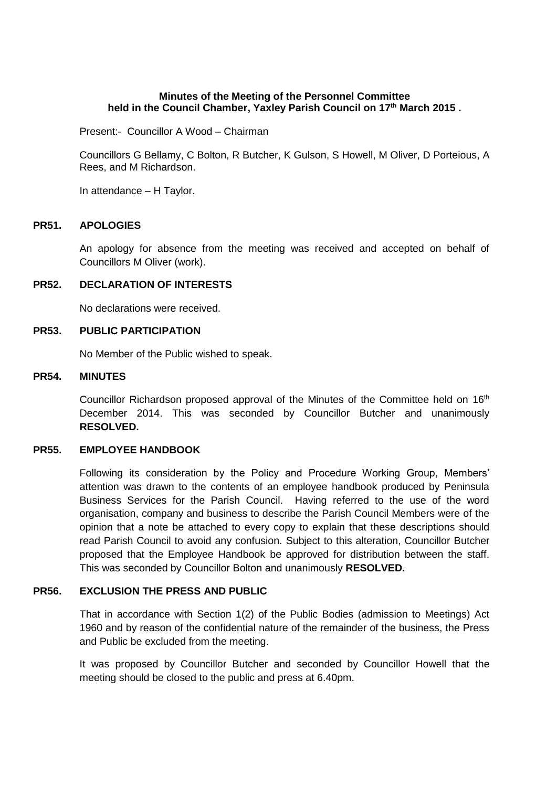## **Minutes of the Meeting of the Personnel Committee held in the Council Chamber, Yaxley Parish Council on 17 th March 2015 .**

Present:- Councillor A Wood – Chairman

Councillors G Bellamy, C Bolton, R Butcher, K Gulson, S Howell, M Oliver, D Porteious, A Rees, and M Richardson.

In attendance – H Taylor.

#### **PR51. APOLOGIES**

An apology for absence from the meeting was received and accepted on behalf of Councillors M Oliver (work).

## **PR52. DECLARATION OF INTERESTS**

No declarations were received.

#### **PR53. PUBLIC PARTICIPATION**

No Member of the Public wished to speak.

#### **PR54. MINUTES**

Councillor Richardson proposed approval of the Minutes of the Committee held on  $16<sup>th</sup>$ December 2014. This was seconded by Councillor Butcher and unanimously **RESOLVED.**

## **PR55. EMPLOYEE HANDBOOK**

Following its consideration by the Policy and Procedure Working Group, Members' attention was drawn to the contents of an employee handbook produced by Peninsula Business Services for the Parish Council. Having referred to the use of the word organisation, company and business to describe the Parish Council Members were of the opinion that a note be attached to every copy to explain that these descriptions should read Parish Council to avoid any confusion. Subject to this alteration, Councillor Butcher proposed that the Employee Handbook be approved for distribution between the staff. This was seconded by Councillor Bolton and unanimously **RESOLVED.**

# **PR56. EXCLUSION THE PRESS AND PUBLIC**

That in accordance with Section 1(2) of the Public Bodies (admission to Meetings) Act 1960 and by reason of the confidential nature of the remainder of the business, the Press and Public be excluded from the meeting.

It was proposed by Councillor Butcher and seconded by Councillor Howell that the meeting should be closed to the public and press at 6.40pm.